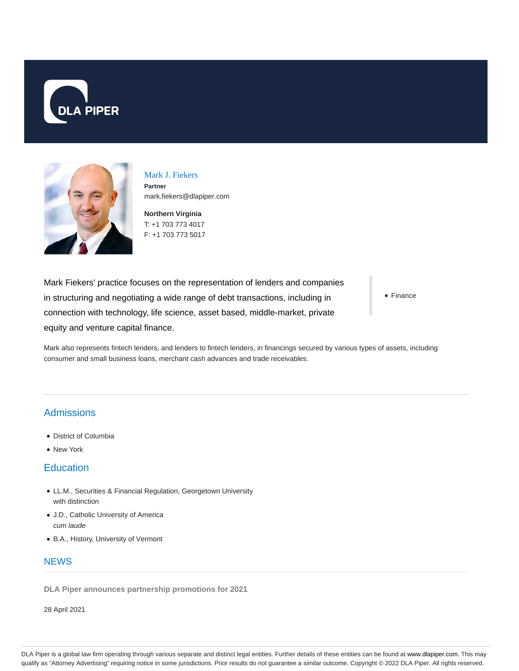



Mark J. Fiekers **Partner** mark.fiekers@dlapiper.com

**Northern Virginia** T: +1 703 773 4017 F: +1 703 773 5017

Mark Fiekers' practice focuses on the representation of lenders and companies in structuring and negotiating a wide range of debt transactions, including in connection with technology, life science, asset based, middle-market, private equity and venture capital finance.

• Finance

Mark also represents fintech lenders, and lenders to fintech lenders, in financings secured by various types of assets, including consumer and small business loans, merchant cash advances and trade receivables.

## **Admissions**

- District of Columbia
- New York

## **Education**

- LL.M., Securities & Financial Regulation, Georgetown University with distinction
- J.D., Catholic University of America cum laude
- B.A., History, University of Vermont

## **NFWS**

**DLA Piper announces partnership promotions for 2021**

28 April 2021

DLA Piper is a global law firm operating through various separate and distinct legal entities. Further details of these entities can be found at www.dlapiper.com. This may qualify as "Attorney Advertising" requiring notice in some jurisdictions. Prior results do not guarantee a similar outcome. Copyright © 2022 DLA Piper. All rights reserved.